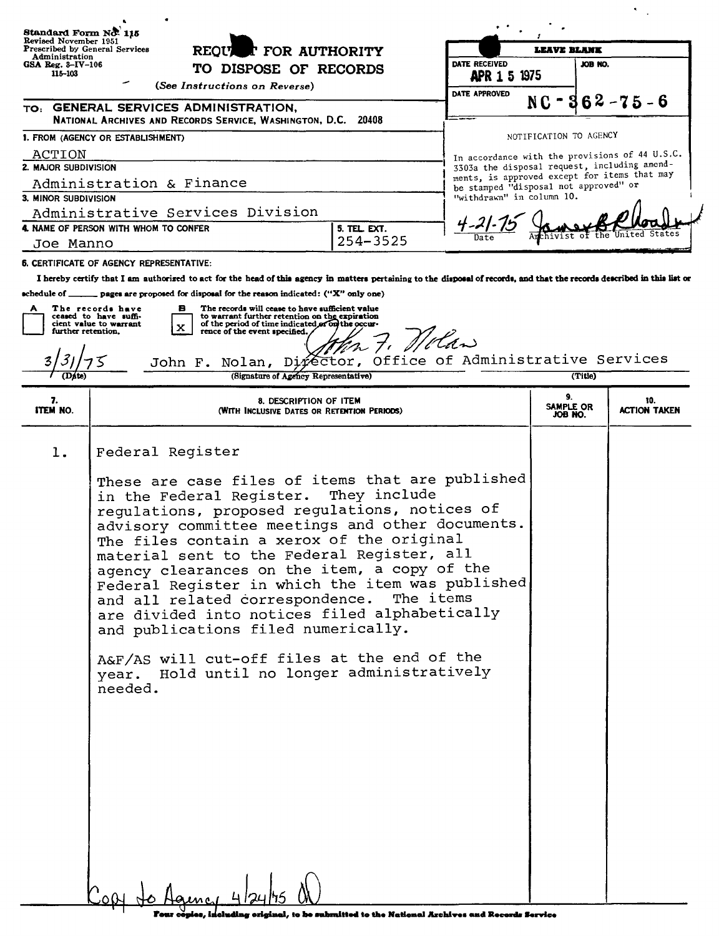| Standard Form No. 115<br>Revised November 1951<br>Prescribed by General Services<br>Administration<br>$GSA$ Reg. $3$ -IV-106<br>115-103 |                                                 |                                                                                                                                                                                                                                                                                                                                                                                                                                                                                                                                                                                                                     |                                                                |                                                                                                                                       |                        |  |                                                |  |  |
|-----------------------------------------------------------------------------------------------------------------------------------------|-------------------------------------------------|---------------------------------------------------------------------------------------------------------------------------------------------------------------------------------------------------------------------------------------------------------------------------------------------------------------------------------------------------------------------------------------------------------------------------------------------------------------------------------------------------------------------------------------------------------------------------------------------------------------------|----------------------------------------------------------------|---------------------------------------------------------------------------------------------------------------------------------------|------------------------|--|------------------------------------------------|--|--|
|                                                                                                                                         |                                                 | <b>T</b> FOR AUTHORITY<br><b>REOU</b><br>TO DISPOSE OF RECORDS                                                                                                                                                                                                                                                                                                                                                                                                                                                                                                                                                      |                                                                | LEAVE BLANK<br>DATE RECEIVED<br>JOB NO.                                                                                               |                        |  |                                                |  |  |
|                                                                                                                                         |                                                 |                                                                                                                                                                                                                                                                                                                                                                                                                                                                                                                                                                                                                     |                                                                | <b>APR 1 5 1975</b>                                                                                                                   |                        |  |                                                |  |  |
|                                                                                                                                         |                                                 | (See Instructions on Reverse)                                                                                                                                                                                                                                                                                                                                                                                                                                                                                                                                                                                       |                                                                | DATE APPROVED                                                                                                                         |                        |  |                                                |  |  |
|                                                                                                                                         |                                                 | TO: GENERAL SERVICES ADMINISTRATION,                                                                                                                                                                                                                                                                                                                                                                                                                                                                                                                                                                                |                                                                |                                                                                                                                       | $NC -$                 |  | $362 - 75 - 6$                                 |  |  |
|                                                                                                                                         |                                                 | NATIONAL ARCHIVES AND RECORDS SERVICE, WASHINGTON, D.C.                                                                                                                                                                                                                                                                                                                                                                                                                                                                                                                                                             | 20408                                                          |                                                                                                                                       |                        |  |                                                |  |  |
|                                                                                                                                         | 1. FROM (AGENCY OR ESTABLISHMENT)               |                                                                                                                                                                                                                                                                                                                                                                                                                                                                                                                                                                                                                     |                                                                |                                                                                                                                       | NOTIFICATION TO AGENCY |  |                                                |  |  |
| ACTION<br>2. MAJOR SUBDIVISION                                                                                                          |                                                 |                                                                                                                                                                                                                                                                                                                                                                                                                                                                                                                                                                                                                     |                                                                |                                                                                                                                       |                        |  | In accordance with the provisions of 44 U.S.C. |  |  |
|                                                                                                                                         | Administration & Finance                        |                                                                                                                                                                                                                                                                                                                                                                                                                                                                                                                                                                                                                     |                                                                | 3303a the disposal request, including amend-<br>ments, is approved except for items that may<br>be stamped "disposal not approved" or |                        |  |                                                |  |  |
| 3. MINOR SUBDIVISION                                                                                                                    |                                                 |                                                                                                                                                                                                                                                                                                                                                                                                                                                                                                                                                                                                                     | "withdrawn" in column 10.                                      |                                                                                                                                       |                        |  |                                                |  |  |
|                                                                                                                                         |                                                 | Administrative Services Division                                                                                                                                                                                                                                                                                                                                                                                                                                                                                                                                                                                    |                                                                |                                                                                                                                       |                        |  |                                                |  |  |
|                                                                                                                                         | 4. NAME OF PERSON WITH WHOM TO CONFER           |                                                                                                                                                                                                                                                                                                                                                                                                                                                                                                                                                                                                                     |                                                                |                                                                                                                                       |                        |  |                                                |  |  |
| Joe Manno                                                                                                                               |                                                 |                                                                                                                                                                                                                                                                                                                                                                                                                                                                                                                                                                                                                     | 254-3525                                                       |                                                                                                                                       |                        |  |                                                |  |  |
|                                                                                                                                         | <b>6. CERTIFICATE OF AGENCY REPRESENTATIVE:</b> |                                                                                                                                                                                                                                                                                                                                                                                                                                                                                                                                                                                                                     |                                                                |                                                                                                                                       |                        |  |                                                |  |  |
|                                                                                                                                         |                                                 | I hereby certify that I am authorized to act for the head of this agency in matters pertaining to the disposal of records, and that the records described in this list or                                                                                                                                                                                                                                                                                                                                                                                                                                           |                                                                |                                                                                                                                       |                        |  |                                                |  |  |
|                                                                                                                                         |                                                 | schedule of _______ pages are proposed for disposal for the reason indicated: ("X" only one)                                                                                                                                                                                                                                                                                                                                                                                                                                                                                                                        |                                                                |                                                                                                                                       |                        |  |                                                |  |  |
|                                                                                                                                         | The records have                                | The records will cease to have sufficient value<br>в                                                                                                                                                                                                                                                                                                                                                                                                                                                                                                                                                                |                                                                |                                                                                                                                       |                        |  |                                                |  |  |
| further retention.                                                                                                                      | ceased to have suffi-<br>cient value to warrant | to warrant further retention on the expiration<br>of the period of time indicated or on the occur-<br>x<br>rence of the event specified.                                                                                                                                                                                                                                                                                                                                                                                                                                                                            |                                                                |                                                                                                                                       |                        |  |                                                |  |  |
|                                                                                                                                         |                                                 |                                                                                                                                                                                                                                                                                                                                                                                                                                                                                                                                                                                                                     | 27. Nolan                                                      |                                                                                                                                       |                        |  |                                                |  |  |
|                                                                                                                                         |                                                 | John F. Nolan, Difector, Office of Administrative Services                                                                                                                                                                                                                                                                                                                                                                                                                                                                                                                                                          |                                                                |                                                                                                                                       |                        |  |                                                |  |  |
|                                                                                                                                         |                                                 | (Signature of Agency Representative)                                                                                                                                                                                                                                                                                                                                                                                                                                                                                                                                                                                |                                                                |                                                                                                                                       | (Title)                |  |                                                |  |  |
|                                                                                                                                         |                                                 |                                                                                                                                                                                                                                                                                                                                                                                                                                                                                                                                                                                                                     | 9.                                                             |                                                                                                                                       |                        |  |                                                |  |  |
| 7.<br><b>ITEM NO.</b>                                                                                                                   |                                                 | 8. DESCRIPTION OF ITEM<br>(WITH INCLUSIVE DATES OR RETENTION PERIODS)                                                                                                                                                                                                                                                                                                                                                                                                                                                                                                                                               |                                                                |                                                                                                                                       | SAMPLE OR<br>JOB NO.   |  | 10.<br>action taken                            |  |  |
|                                                                                                                                         |                                                 |                                                                                                                                                                                                                                                                                                                                                                                                                                                                                                                                                                                                                     |                                                                |                                                                                                                                       |                        |  |                                                |  |  |
| l.                                                                                                                                      | Federal Register<br>needed.                     | These are case files of items that are published<br>in the Federal Register.<br>regulations, proposed regulations, notices of<br>advisory committee meetings and other documents.<br>The files contain a xerox of the original<br>material sent to the Federal Register, all<br>agency clearances on the item, a copy of the<br>Federal Register in which the item was published<br>and all related correspondence. The items<br>are divided into notices filed alphabetically<br>and publications filed numerically.<br>A&F/AS will cut-off files at the end of the<br>year. Hold until no longer administratively | They include                                                   |                                                                                                                                       |                        |  |                                                |  |  |
|                                                                                                                                         |                                                 |                                                                                                                                                                                                                                                                                                                                                                                                                                                                                                                                                                                                                     | el . In he enhanitied to the Mational Brahimes and Records Cou |                                                                                                                                       |                        |  |                                                |  |  |